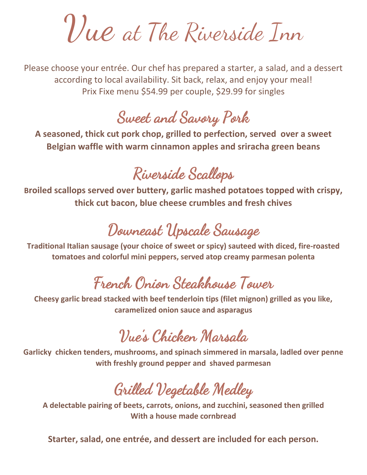Vue at The Riverside Inn

Please choose your entrée. Our chef has prepared a starter, a salad, and a dessert according to local availability. Sit back, relax, and enjoy your meal! Prix Fixe menu \$54.99 per couple, \$29.99 for singles

### Sweet and Savory Pork

**A seasoned, thick cut pork chop, grilled to perfection, served over a sweet Belgian waffle with warm cinnamon apples and sriracha green beans**

# Riverside Scallops

**Broiled scallops served over buttery, garlic mashed potatoes topped with crispy, thick cut bacon, blue cheese crumbles and fresh chives**

## Downeast Upscale Sausage

**Traditional Italian sausage (your choice of sweet or spicy) sauteed with diced, fire-roasted tomatoes and colorful mini peppers, served atop creamy parmesan polenta**

### French Onion Steakhouse Tower

**Cheesy garlic bread stacked with beef tenderloin tips (filet mignon) grilled as you like, caramelized onion sauce and asparagus**

## Vue's Chicken Marsala

**Garlicky chicken tenders, mushrooms, and spinach simmered in marsala, ladled over penne with freshly ground pepper and shaved parmesan**

Grilled Vegetable Medley

**A delectable pairing of beets, carrots, onions, and zucchini, seasoned then grilled With a house made cornbread**

**Starter, salad, one entrée, and dessert are included for each person.**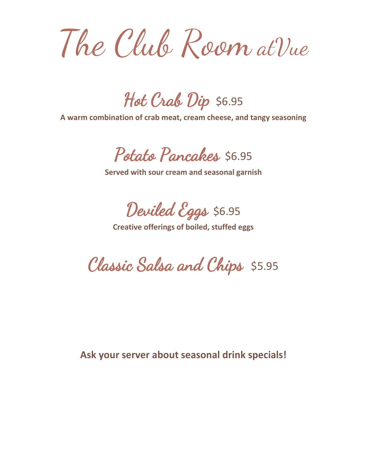The Club Room atVue

Hot Crab Dip \$6.95

**A warm combination of crab meat, cream cheese, and tangy seasoning**

Potato Pancakes \$6.95

**Served with sour cream and seasonal garnish**

Deviled Eggs \$6.95

**Creative offerings of boiled, stuffed eggs**

Classic Salsa and Chips \$5.95

**Ask your server about seasonal drink specials!**